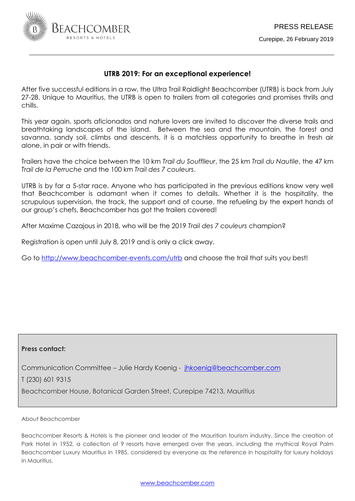

## **UTRB 2019: For an exceptional experience!**

After five successful editions in a row, the Ultra Trail Raidlight Beachcomber (UTRB) is back from July 27-28. Unique to Mauritius, the UTRB is open to trailers from all categories and promises thrills and chills.

This year again, sports aficionados and nature lovers are invited to discover the diverse trails and breathtaking landscapes of the island. Between the sea and the mountain, the forest and savanna, sandy soil, climbs and descents, it is a matchless opportunity to breathe in fresh air alone, in pair or with friends.

Trailers have the choice between the 10 km *Trail du Soufflleur*, the 25 km *Trail du Nautile*, the 47 km *Trail de la Perruche* and the 100 km *Trail des 7 couleurs*.

UTRB is by far a 5-star race. Anyone who has participated in the previous editions know very well that Beachcomber is adamant when it comes to details. Whether it is the hospitality, the scrupulous supervision, the track, the support and of course, the refueling by the expert hands of our group's chefs, Beachcomber has got the trailers covered!

After Maxime Cazajous in 2018, who will be the 2019 *Trail des 7 couleurs* champion?

Registration is open until July 8, 2019 and is only a click away.

Go to<http://www.beachcomber-events.com/utrb> and choose the trail that suits you best!

## **Press contact:**

Communication Committee – Julie Hardy Koenig - [jhkoenig@beachcomber.com](mailto:jhkoenig@beachcomber.com) 

T (230) 601 9315

Beachcomber House, Botanical Garden Street, Curepipe 74213, Mauritius

About Beachcomber

Beachcomber Resorts & Hotels is the pioneer and leader of the Mauritian tourism industry. Since the creation of Park Hotel in 1952, a collection of 9 resorts have emerged over the years, including the mythical Royal Palm Beachcomber Luxury Mauritius in 1985, considered by everyone as the reference in hospitality for luxury holidays in Mauritius.